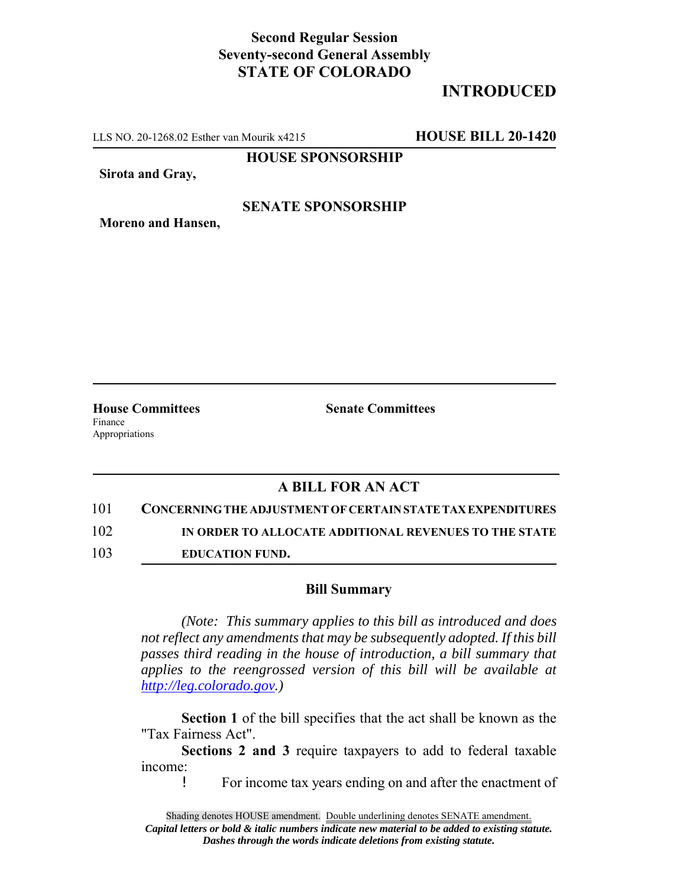## **Second Regular Session Seventy-second General Assembly STATE OF COLORADO**

# **INTRODUCED**

LLS NO. 20-1268.02 Esther van Mourik x4215 **HOUSE BILL 20-1420**

**HOUSE SPONSORSHIP**

**Sirota and Gray,**

### **SENATE SPONSORSHIP**

**Moreno and Hansen,**

Finance Appropriations

**House Committees Senate Committees**

## **A BILL FOR AN ACT**

101 **CONCERNING THE ADJUSTMENT OF CERTAIN STATE TAX EXPENDITURES**

102 **IN ORDER TO ALLOCATE ADDITIONAL REVENUES TO THE STATE**

103 **EDUCATION FUND.**

#### **Bill Summary**

*(Note: This summary applies to this bill as introduced and does not reflect any amendments that may be subsequently adopted. If this bill passes third reading in the house of introduction, a bill summary that applies to the reengrossed version of this bill will be available at http://leg.colorado.gov.)*

**Section 1** of the bill specifies that the act shall be known as the "Tax Fairness Act".

**Sections 2 and 3** require taxpayers to add to federal taxable income:

! For income tax years ending on and after the enactment of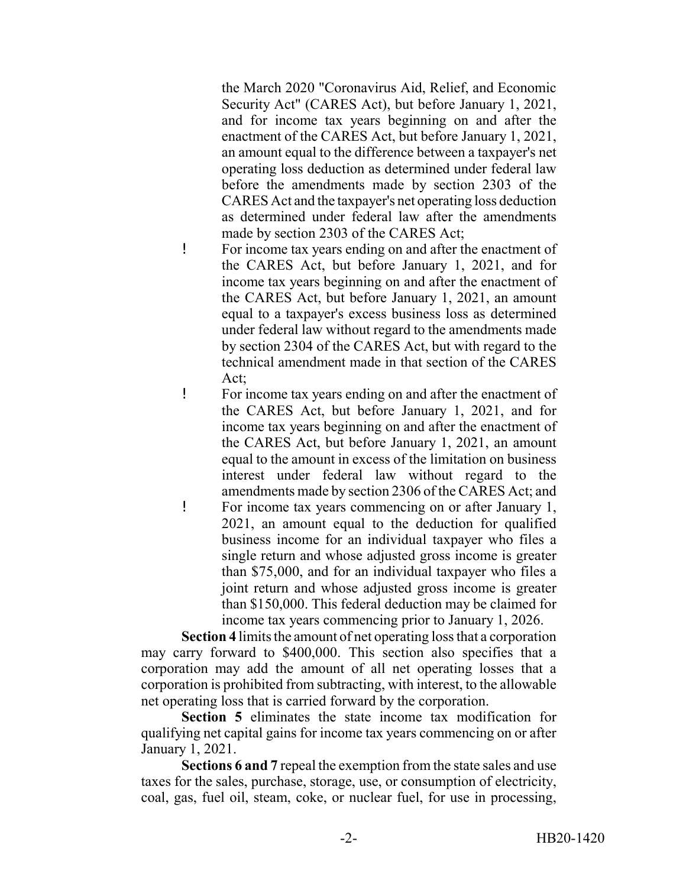the March 2020 "Coronavirus Aid, Relief, and Economic Security Act" (CARES Act), but before January 1, 2021, and for income tax years beginning on and after the enactment of the CARES Act, but before January 1, 2021, an amount equal to the difference between a taxpayer's net operating loss deduction as determined under federal law before the amendments made by section 2303 of the CARES Act and the taxpayer's net operating loss deduction as determined under federal law after the amendments made by section 2303 of the CARES Act;

- ! For income tax years ending on and after the enactment of the CARES Act, but before January 1, 2021, and for income tax years beginning on and after the enactment of the CARES Act, but before January 1, 2021, an amount equal to a taxpayer's excess business loss as determined under federal law without regard to the amendments made by section 2304 of the CARES Act, but with regard to the technical amendment made in that section of the CARES Act;
- ! For income tax years ending on and after the enactment of the CARES Act, but before January 1, 2021, and for income tax years beginning on and after the enactment of the CARES Act, but before January 1, 2021, an amount equal to the amount in excess of the limitation on business interest under federal law without regard to the amendments made by section 2306 of the CARES Act; and
- ! For income tax years commencing on or after January 1, 2021, an amount equal to the deduction for qualified business income for an individual taxpayer who files a single return and whose adjusted gross income is greater than \$75,000, and for an individual taxpayer who files a joint return and whose adjusted gross income is greater than \$150,000. This federal deduction may be claimed for income tax years commencing prior to January 1, 2026.

**Section 4** limits the amount of net operating loss that a corporation may carry forward to \$400,000. This section also specifies that a corporation may add the amount of all net operating losses that a corporation is prohibited from subtracting, with interest, to the allowable net operating loss that is carried forward by the corporation.

**Section 5** eliminates the state income tax modification for qualifying net capital gains for income tax years commencing on or after January 1, 2021.

**Sections 6 and 7** repeal the exemption from the state sales and use taxes for the sales, purchase, storage, use, or consumption of electricity, coal, gas, fuel oil, steam, coke, or nuclear fuel, for use in processing,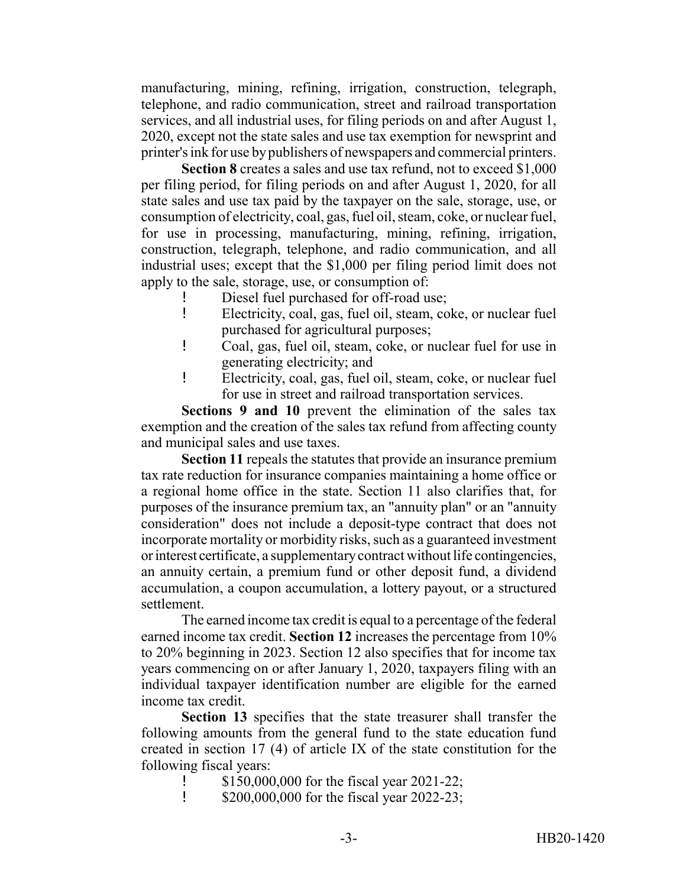manufacturing, mining, refining, irrigation, construction, telegraph, telephone, and radio communication, street and railroad transportation services, and all industrial uses, for filing periods on and after August 1, 2020, except not the state sales and use tax exemption for newsprint and printer's ink for use by publishers of newspapers and commercial printers.

**Section 8** creates a sales and use tax refund, not to exceed \$1,000 per filing period, for filing periods on and after August 1, 2020, for all state sales and use tax paid by the taxpayer on the sale, storage, use, or consumption of electricity, coal, gas, fuel oil, steam, coke, or nuclear fuel, for use in processing, manufacturing, mining, refining, irrigation, construction, telegraph, telephone, and radio communication, and all industrial uses; except that the \$1,000 per filing period limit does not apply to the sale, storage, use, or consumption of:

- Diesel fuel purchased for off-road use;
- ! Electricity, coal, gas, fuel oil, steam, coke, or nuclear fuel purchased for agricultural purposes;
- ! Coal, gas, fuel oil, steam, coke, or nuclear fuel for use in generating electricity; and
- ! Electricity, coal, gas, fuel oil, steam, coke, or nuclear fuel for use in street and railroad transportation services.

**Sections 9 and 10** prevent the elimination of the sales tax exemption and the creation of the sales tax refund from affecting county and municipal sales and use taxes.

**Section 11** repeals the statutes that provide an insurance premium tax rate reduction for insurance companies maintaining a home office or a regional home office in the state. Section 11 also clarifies that, for purposes of the insurance premium tax, an "annuity plan" or an "annuity consideration" does not include a deposit-type contract that does not incorporate mortality or morbidity risks, such as a guaranteed investment or interest certificate, a supplementary contract without life contingencies, an annuity certain, a premium fund or other deposit fund, a dividend accumulation, a coupon accumulation, a lottery payout, or a structured settlement.

The earned income tax credit is equal to a percentage of the federal earned income tax credit. **Section 12** increases the percentage from 10% to 20% beginning in 2023. Section 12 also specifies that for income tax years commencing on or after January 1, 2020, taxpayers filing with an individual taxpayer identification number are eligible for the earned income tax credit.

**Section 13** specifies that the state treasurer shall transfer the following amounts from the general fund to the state education fund created in section 17 (4) of article IX of the state constitution for the following fiscal years:

- ! \$150,000,000 for the fiscal year 2021-22;
- **1** \$200,000,000 for the fiscal year 2022-23;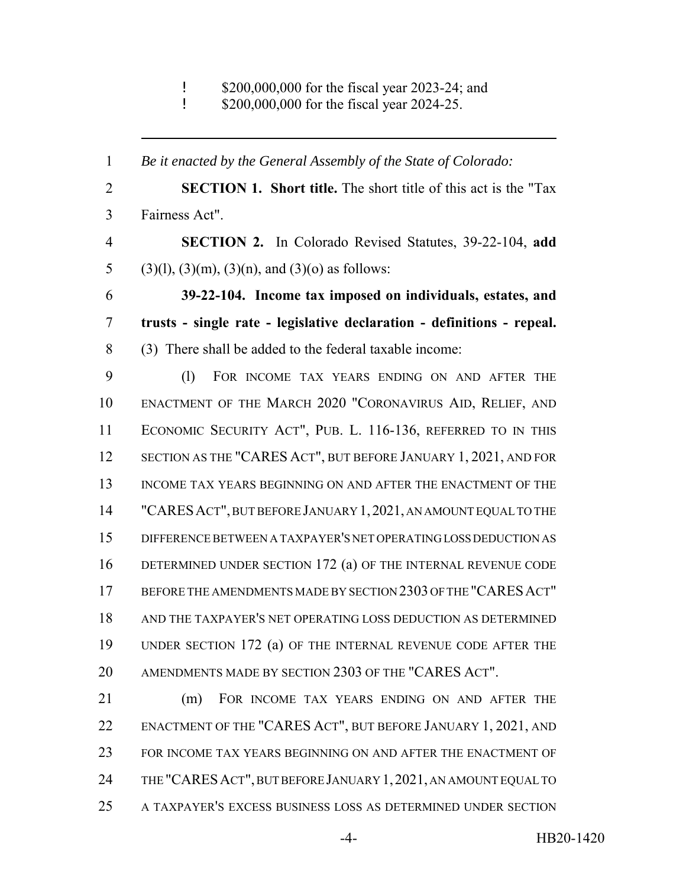! \$200,000,000 for the fiscal year 2023-24; and

**\$200,000,000 for the fiscal year 2024-25.** 

 *Be it enacted by the General Assembly of the State of Colorado:* **SECTION 1. Short title.** The short title of this act is the "Tax Fairness Act". **SECTION 2.** In Colorado Revised Statutes, 39-22-104, **add** 5 (3)(1), (3)(m), (3)(n), and (3)(o) as follows: **39-22-104. Income tax imposed on individuals, estates, and trusts - single rate - legislative declaration - definitions - repeal.** (3) There shall be added to the federal taxable income: (l) FOR INCOME TAX YEARS ENDING ON AND AFTER THE ENACTMENT OF THE MARCH 2020 "CORONAVIRUS AID, RELIEF, AND ECONOMIC SECURITY ACT", PUB. L. 116-136, REFERRED TO IN THIS SECTION AS THE "CARES ACT", BUT BEFORE JANUARY 1, 2021, AND FOR 13 INCOME TAX YEARS BEGINNING ON AND AFTER THE ENACTMENT OF THE "CARESACT", BUT BEFORE JANUARY 1,2021, AN AMOUNT EQUAL TO THE DIFFERENCE BETWEEN A TAXPAYER'S NET OPERATING LOSS DEDUCTION AS DETERMINED UNDER SECTION 172 (a) OF THE INTERNAL REVENUE CODE BEFORE THE AMENDMENTS MADE BY SECTION 2303 OF THE "CARESACT" AND THE TAXPAYER'S NET OPERATING LOSS DEDUCTION AS DETERMINED UNDER SECTION 172 (a) OF THE INTERNAL REVENUE CODE AFTER THE AMENDMENTS MADE BY SECTION 2303 OF THE "CARES ACT". (m) FOR INCOME TAX YEARS ENDING ON AND AFTER THE ENACTMENT OF THE "CARES ACT", BUT BEFORE JANUARY 1, 2021, AND FOR INCOME TAX YEARS BEGINNING ON AND AFTER THE ENACTMENT OF THE "CARESACT", BUT BEFORE JANUARY 1,2021, AN AMOUNT EQUAL TO

A TAXPAYER'S EXCESS BUSINESS LOSS AS DETERMINED UNDER SECTION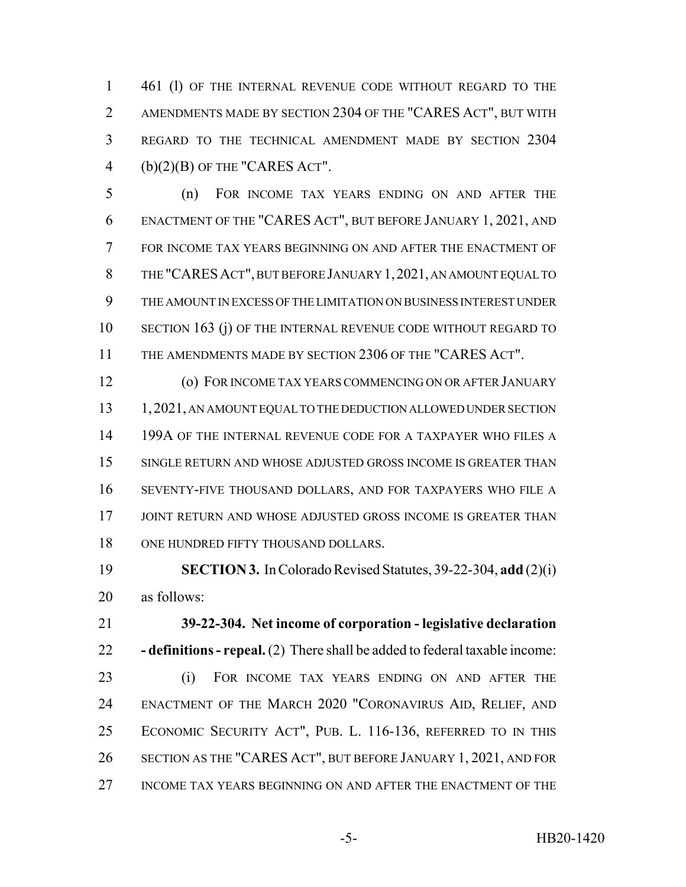1 461 (1) OF THE INTERNAL REVENUE CODE WITHOUT REGARD TO THE AMENDMENTS MADE BY SECTION 2304 OF THE "CARES ACT", BUT WITH REGARD TO THE TECHNICAL AMENDMENT MADE BY SECTION 2304 4 (b) $(2)(B)$  OF THE "CARES ACT".

 (n) FOR INCOME TAX YEARS ENDING ON AND AFTER THE ENACTMENT OF THE "CARES ACT", BUT BEFORE JANUARY 1, 2021, AND FOR INCOME TAX YEARS BEGINNING ON AND AFTER THE ENACTMENT OF THE "CARESACT", BUT BEFORE JANUARY 1,2021, AN AMOUNT EQUAL TO THE AMOUNT IN EXCESS OF THE LIMITATION ON BUSINESS INTEREST UNDER SECTION 163 (j) OF THE INTERNAL REVENUE CODE WITHOUT REGARD TO THE AMENDMENTS MADE BY SECTION 2306 OF THE "CARES ACT".

 (o) FOR INCOME TAX YEARS COMMENCING ON OR AFTER JANUARY 13 1, 2021, AN AMOUNT EQUAL TO THE DEDUCTION ALLOWED UNDER SECTION 14 199A OF THE INTERNAL REVENUE CODE FOR A TAXPAYER WHO FILES A SINGLE RETURN AND WHOSE ADJUSTED GROSS INCOME IS GREATER THAN SEVENTY-FIVE THOUSAND DOLLARS, AND FOR TAXPAYERS WHO FILE A 17 JOINT RETURN AND WHOSE ADJUSTED GROSS INCOME IS GREATER THAN 18 ONE HUNDRED FIFTY THOUSAND DOLLARS.

 **SECTION 3.** In Colorado Revised Statutes, 39-22-304, **add** (2)(i) as follows:

 **39-22-304. Net income of corporation - legislative declaration - definitions - repeal.** (2) There shall be added to federal taxable income: (i) FOR INCOME TAX YEARS ENDING ON AND AFTER THE

 ENACTMENT OF THE MARCH 2020 "CORONAVIRUS AID, RELIEF, AND ECONOMIC SECURITY ACT", PUB. L. 116-136, REFERRED TO IN THIS SECTION AS THE "CARES ACT", BUT BEFORE JANUARY 1, 2021, AND FOR INCOME TAX YEARS BEGINNING ON AND AFTER THE ENACTMENT OF THE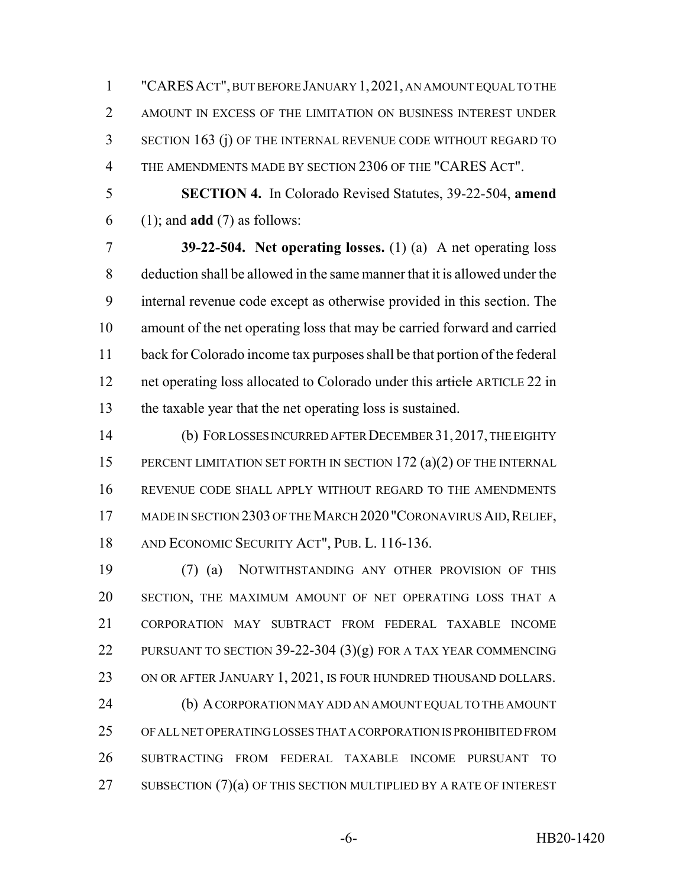"CARESACT", BUT BEFORE JANUARY 1,2021, AN AMOUNT EQUAL TO THE AMOUNT IN EXCESS OF THE LIMITATION ON BUSINESS INTEREST UNDER SECTION 163 (j) OF THE INTERNAL REVENUE CODE WITHOUT REGARD TO THE AMENDMENTS MADE BY SECTION 2306 OF THE "CARES ACT".

 **SECTION 4.** In Colorado Revised Statutes, 39-22-504, **amend** (1); and **add** (7) as follows:

 **39-22-504. Net operating losses.** (1) (a) A net operating loss deduction shall be allowed in the same manner that it is allowed under the internal revenue code except as otherwise provided in this section. The amount of the net operating loss that may be carried forward and carried back for Colorado income tax purposes shall be that portion of the federal 12 net operating loss allocated to Colorado under this article ARTICLE 22 in the taxable year that the net operating loss is sustained.

 (b) FOR LOSSES INCURRED AFTER DECEMBER 31,2017, THE EIGHTY 15 PERCENT LIMITATION SET FORTH IN SECTION 172 (a)(2) OF THE INTERNAL REVENUE CODE SHALL APPLY WITHOUT REGARD TO THE AMENDMENTS 17 MADE IN SECTION 2303 OF THE MARCH 2020 "CORONAVIRUS AID, RELIEF, AND ECONOMIC SECURITY ACT", PUB. L. 116-136.

 (7) (a) NOTWITHSTANDING ANY OTHER PROVISION OF THIS SECTION, THE MAXIMUM AMOUNT OF NET OPERATING LOSS THAT A CORPORATION MAY SUBTRACT FROM FEDERAL TAXABLE INCOME 22 PURSUANT TO SECTION 39-22-304 (3)(g) FOR A TAX YEAR COMMENCING 23 ON OR AFTER JANUARY 1, 2021, IS FOUR HUNDRED THOUSAND DOLLARS. (b) A CORPORATION MAY ADD AN AMOUNT EQUAL TO THE AMOUNT OF ALL NET OPERATING LOSSES THAT A CORPORATION IS PROHIBITED FROM SUBTRACTING FROM FEDERAL TAXABLE INCOME PURSUANT TO 27 SUBSECTION  $(7)(a)$  OF THIS SECTION MULTIPLIED BY A RATE OF INTEREST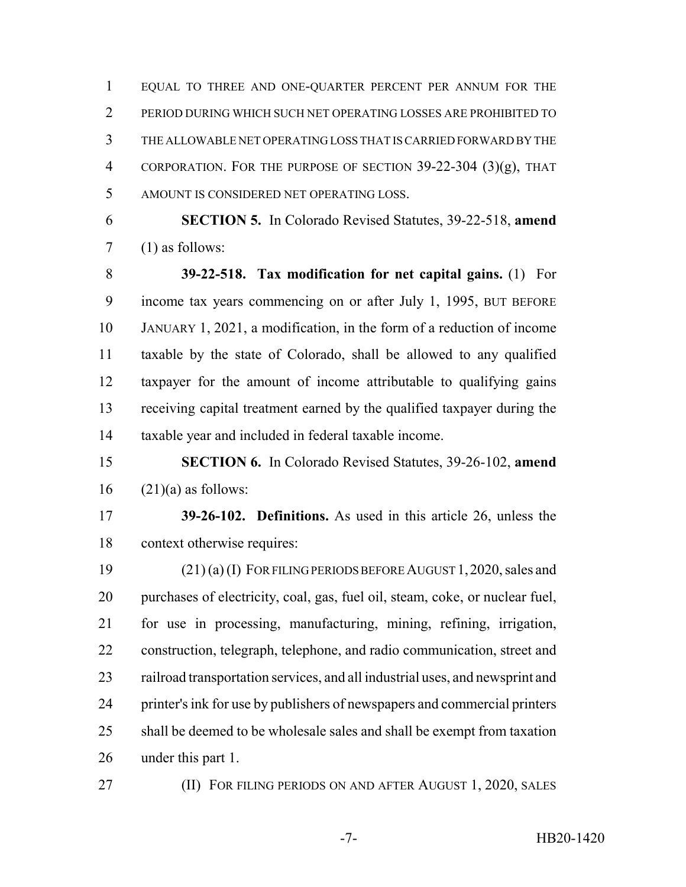EQUAL TO THREE AND ONE-QUARTER PERCENT PER ANNUM FOR THE PERIOD DURING WHICH SUCH NET OPERATING LOSSES ARE PROHIBITED TO THE ALLOWABLE NET OPERATING LOSS THAT IS CARRIED FORWARD BY THE CORPORATION. FOR THE PURPOSE OF SECTION 39-22-304 (3)(g), THAT AMOUNT IS CONSIDERED NET OPERATING LOSS.

 **SECTION 5.** In Colorado Revised Statutes, 39-22-518, **amend** (1) as follows:

 **39-22-518. Tax modification for net capital gains.** (1) For income tax years commencing on or after July 1, 1995, BUT BEFORE JANUARY 1, 2021, a modification, in the form of a reduction of income taxable by the state of Colorado, shall be allowed to any qualified taxpayer for the amount of income attributable to qualifying gains receiving capital treatment earned by the qualified taxpayer during the taxable year and included in federal taxable income.

 **SECTION 6.** In Colorado Revised Statutes, 39-26-102, **amend** (21)(a) as follows:

 **39-26-102. Definitions.** As used in this article 26, unless the context otherwise requires:

 (21) (a) (I) FOR FILING PERIODS BEFORE AUGUST 1,2020, sales and purchases of electricity, coal, gas, fuel oil, steam, coke, or nuclear fuel, for use in processing, manufacturing, mining, refining, irrigation, construction, telegraph, telephone, and radio communication, street and railroad transportation services, and all industrial uses, and newsprint and printer's ink for use by publishers of newspapers and commercial printers shall be deemed to be wholesale sales and shall be exempt from taxation under this part 1.

**(II) FOR FILING PERIODS ON AND AFTER AUGUST 1, 2020, SALES**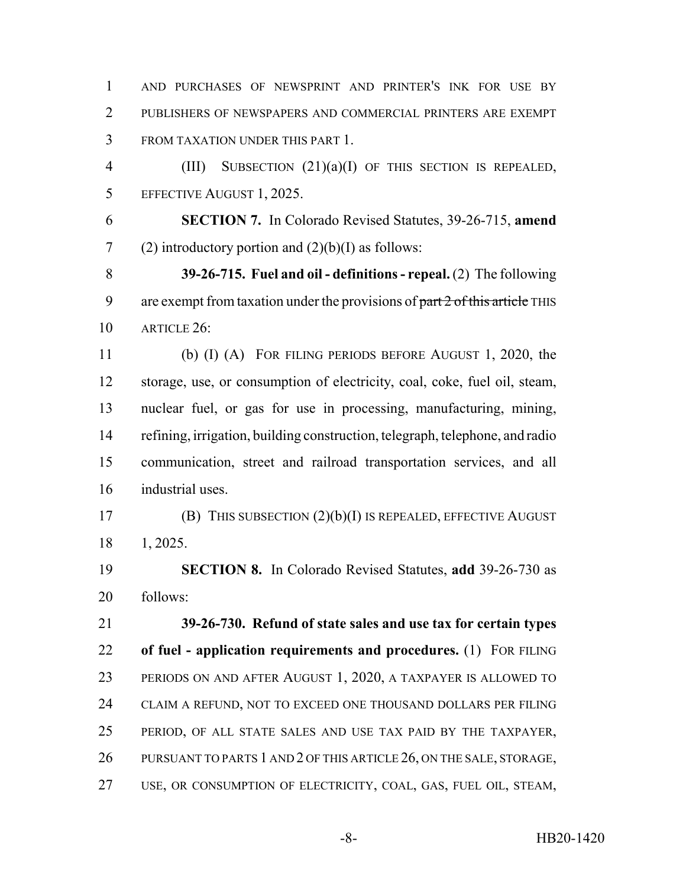AND PURCHASES OF NEWSPRINT AND PRINTER'S INK FOR USE BY 2 PUBLISHERS OF NEWSPAPERS AND COMMERCIAL PRINTERS ARE EXEMPT FROM TAXATION UNDER THIS PART 1.

 (III) SUBSECTION (21)(a)(I) OF THIS SECTION IS REPEALED, EFFECTIVE AUGUST 1, 2025.

 **SECTION 7.** In Colorado Revised Statutes, 39-26-715, **amend** 7 (2) introductory portion and  $(2)(b)(I)$  as follows:

 **39-26-715. Fuel and oil - definitions - repeal.** (2) The following 9 are exempt from taxation under the provisions of part 2 of this article THIS ARTICLE 26:

 (b) (I) (A) FOR FILING PERIODS BEFORE AUGUST 1, 2020, the storage, use, or consumption of electricity, coal, coke, fuel oil, steam, nuclear fuel, or gas for use in processing, manufacturing, mining, refining, irrigation, building construction, telegraph, telephone, and radio communication, street and railroad transportation services, and all industrial uses.

 (B) THIS SUBSECTION (2)(b)(I) IS REPEALED, EFFECTIVE AUGUST 1, 2025.

 **SECTION 8.** In Colorado Revised Statutes, **add** 39-26-730 as follows:

 **39-26-730. Refund of state sales and use tax for certain types of fuel - application requirements and procedures.** (1) FOR FILING PERIODS ON AND AFTER AUGUST 1, 2020, A TAXPAYER IS ALLOWED TO CLAIM A REFUND, NOT TO EXCEED ONE THOUSAND DOLLARS PER FILING PERIOD, OF ALL STATE SALES AND USE TAX PAID BY THE TAXPAYER, 26 PURSUANT TO PARTS 1 AND 2 OF THIS ARTICLE 26, ON THE SALE, STORAGE, USE, OR CONSUMPTION OF ELECTRICITY, COAL, GAS, FUEL OIL, STEAM,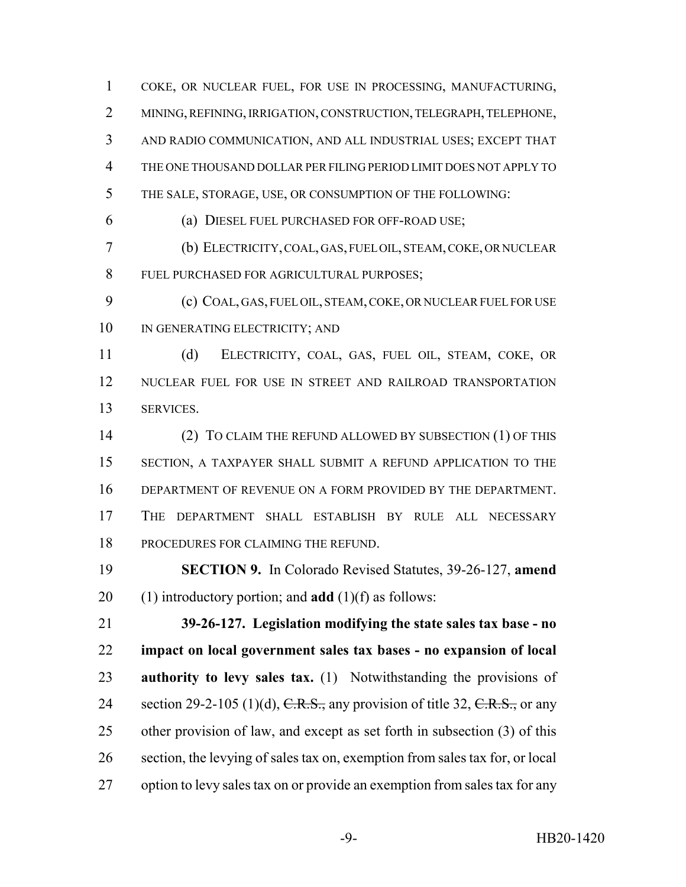MINING, REFINING, IRRIGATION, CONSTRUCTION, TELEGRAPH, TELEPHONE, AND RADIO COMMUNICATION, AND ALL INDUSTRIAL USES; EXCEPT THAT THE ONE THOUSAND DOLLAR PER FILING PERIOD LIMIT DOES NOT APPLY TO THE SALE, STORAGE, USE, OR CONSUMPTION OF THE FOLLOWING: (a) DIESEL FUEL PURCHASED FOR OFF-ROAD USE; (b) ELECTRICITY, COAL, GAS, FUEL OIL, STEAM, COKE, OR NUCLEAR FUEL PURCHASED FOR AGRICULTURAL PURPOSES; (c) COAL, GAS, FUEL OIL, STEAM, COKE, OR NUCLEAR FUEL FOR USE 10 IN GENERATING ELECTRICITY; AND (d) ELECTRICITY, COAL, GAS, FUEL OIL, STEAM, COKE, OR NUCLEAR FUEL FOR USE IN STREET AND RAILROAD TRANSPORTATION SERVICES. 14 (2) TO CLAIM THE REFUND ALLOWED BY SUBSECTION (1) OF THIS SECTION, A TAXPAYER SHALL SUBMIT A REFUND APPLICATION TO THE DEPARTMENT OF REVENUE ON A FORM PROVIDED BY THE DEPARTMENT. THE DEPARTMENT SHALL ESTABLISH BY RULE ALL NECESSARY PROCEDURES FOR CLAIMING THE REFUND. **SECTION 9.** In Colorado Revised Statutes, 39-26-127, **amend** (1) introductory portion; and **add** (1)(f) as follows: **39-26-127. Legislation modifying the state sales tax base - no impact on local government sales tax bases - no expansion of local authority to levy sales tax.** (1) Notwithstanding the provisions of 24 section 29-2-105 (1)(d),  $C.R.S.,$  any provision of title 32,  $C.R.S.,$  or any other provision of law, and except as set forth in subsection (3) of this section, the levying of sales tax on, exemption from sales tax for, or local option to levy sales tax on or provide an exemption from sales tax for any

COKE, OR NUCLEAR FUEL, FOR USE IN PROCESSING, MANUFACTURING,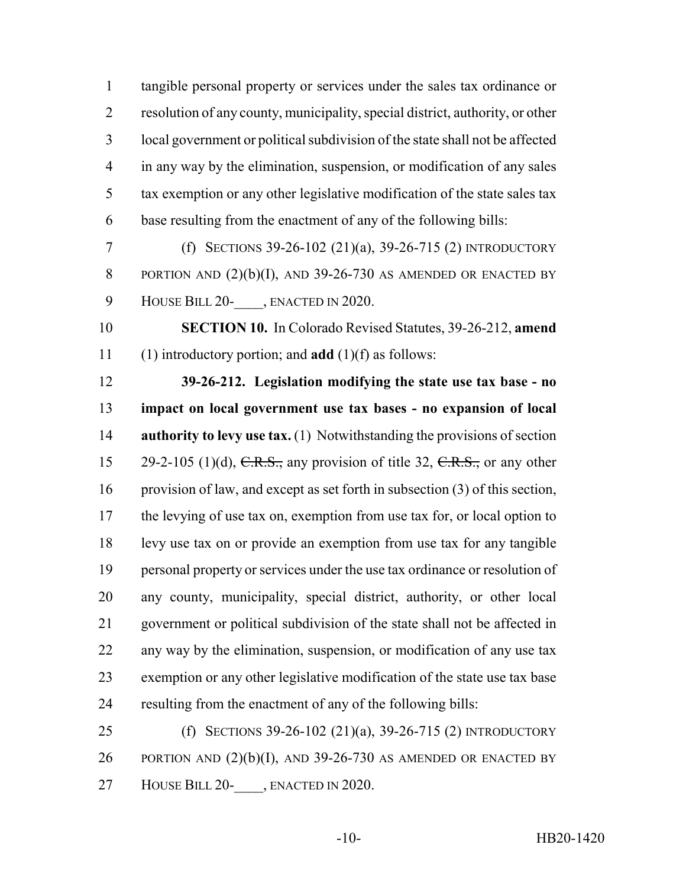tangible personal property or services under the sales tax ordinance or resolution of any county, municipality, special district, authority, or other local government or political subdivision of the state shall not be affected in any way by the elimination, suspension, or modification of any sales tax exemption or any other legislative modification of the state sales tax base resulting from the enactment of any of the following bills:

 (f) SECTIONS 39-26-102 (21)(a), 39-26-715 (2) INTRODUCTORY 8 PORTION AND  $(2)(b)(I)$ , AND 39-26-730 AS AMENDED OR ENACTED BY 9 HOUSE BILL 20-<br>
, ENACTED IN 2020.

 **SECTION 10.** In Colorado Revised Statutes, 39-26-212, **amend** (1) introductory portion; and **add** (1)(f) as follows:

 **39-26-212. Legislation modifying the state use tax base - no impact on local government use tax bases - no expansion of local authority to levy use tax.** (1) Notwithstanding the provisions of section 15 29-2-105 (1)(d),  $C.R.S.,$  any provision of title 32,  $C.R.S.,$  or any other provision of law, and except as set forth in subsection (3) of this section, the levying of use tax on, exemption from use tax for, or local option to levy use tax on or provide an exemption from use tax for any tangible personal property or services under the use tax ordinance or resolution of any county, municipality, special district, authority, or other local government or political subdivision of the state shall not be affected in any way by the elimination, suspension, or modification of any use tax exemption or any other legislative modification of the state use tax base resulting from the enactment of any of the following bills:

 (f) SECTIONS 39-26-102 (21)(a), 39-26-715 (2) INTRODUCTORY 26 PORTION AND  $(2)(b)(I)$ , AND 39-26-730 AS AMENDED OR ENACTED BY 27 HOUSE BILL 20-, ENACTED IN 2020.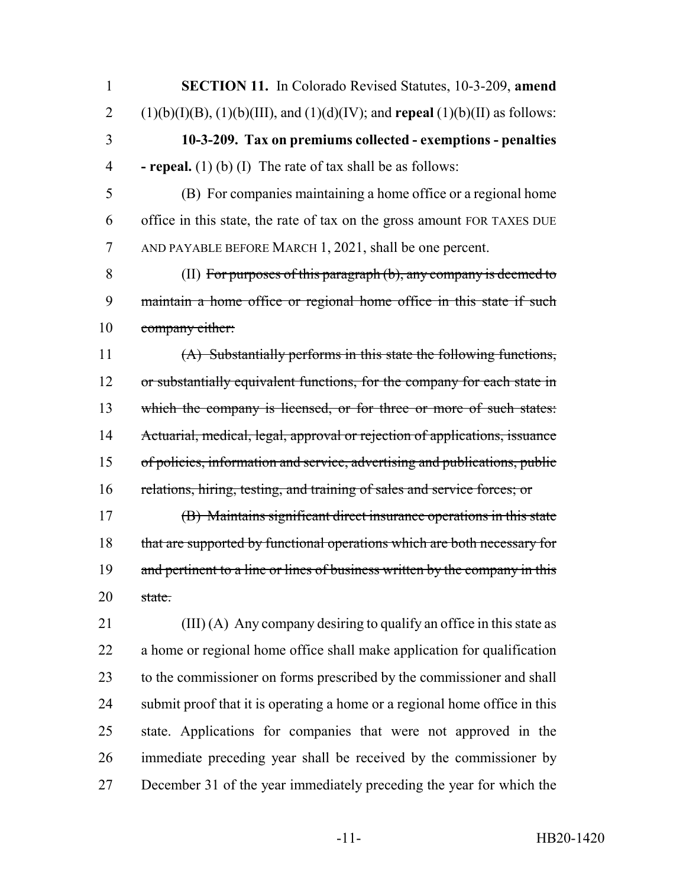**SECTION 11.** In Colorado Revised Statutes, 10-3-209, **amend** 2 (1)(b)(I)(B), (1)(b)(III), and (1)(d)(IV); and **repeal** (1)(b)(II) as follows: **10-3-209. Tax on premiums collected - exemptions - penalties - repeal.** (1) (b) (I) The rate of tax shall be as follows: (B) For companies maintaining a home office or a regional home office in this state, the rate of tax on the gross amount FOR TAXES DUE AND PAYABLE BEFORE MARCH 1, 2021, shall be one percent. (II) For purposes of this paragraph (b), any company is deemed to maintain a home office or regional home office in this state if such 10 company either: (A) Substantially performs in this state the following functions, 12 or substantially equivalent functions, for the company for each state in 13 which the company is licensed, or for three or more of such states: Actuarial, medical, legal, approval or rejection of applications, issuance of policies, information and service, advertising and publications, public relations, hiring, testing, and training of sales and service forces; or (B) Maintains significant direct insurance operations in this state 18 that are supported by functional operations which are both necessary for 19 and pertinent to a line or lines of business written by the company in this 20 state. (III) (A) Any company desiring to qualify an office in this state as a home or regional home office shall make application for qualification to the commissioner on forms prescribed by the commissioner and shall

submit proof that it is operating a home or a regional home office in this

state. Applications for companies that were not approved in the

immediate preceding year shall be received by the commissioner by

December 31 of the year immediately preceding the year for which the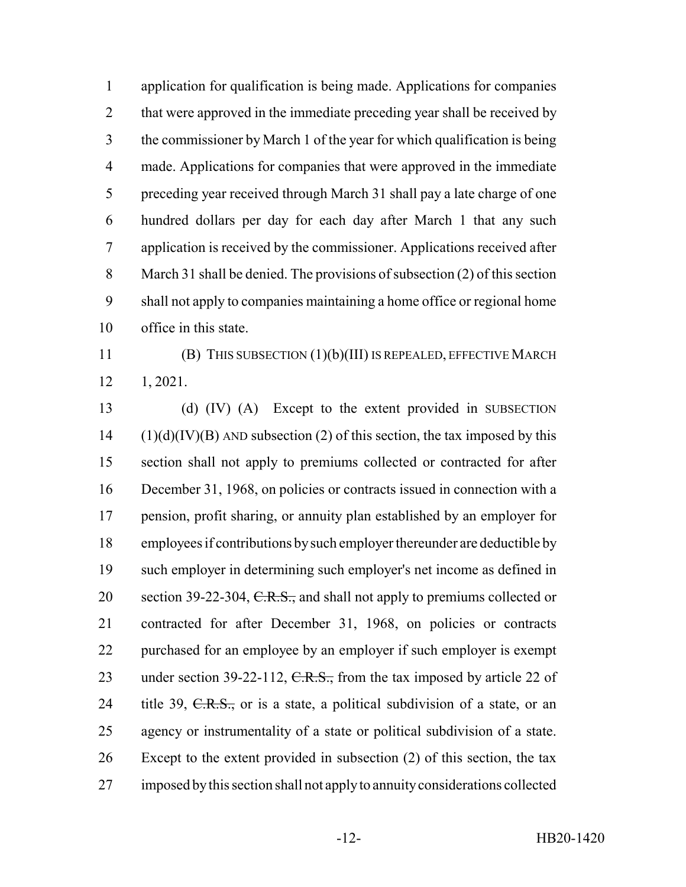application for qualification is being made. Applications for companies 2 that were approved in the immediate preceding year shall be received by the commissioner by March 1 of the year for which qualification is being made. Applications for companies that were approved in the immediate preceding year received through March 31 shall pay a late charge of one hundred dollars per day for each day after March 1 that any such application is received by the commissioner. Applications received after March 31 shall be denied. The provisions of subsection (2) of this section shall not apply to companies maintaining a home office or regional home office in this state.

 (B) THIS SUBSECTION (1)(b)(III) IS REPEALED, EFFECTIVE MARCH 1, 2021.

 (d) (IV) (A) Except to the extent provided in SUBSECTION (1)(d)(IV)(B) AND subsection (2) of this section, the tax imposed by this section shall not apply to premiums collected or contracted for after December 31, 1968, on policies or contracts issued in connection with a pension, profit sharing, or annuity plan established by an employer for employees if contributions by such employer thereunder are deductible by such employer in determining such employer's net income as defined in 20 section 39-22-304, C.R.S., and shall not apply to premiums collected or contracted for after December 31, 1968, on policies or contracts purchased for an employee by an employer if such employer is exempt 23 under section 39-22-112,  $C.R.S.,$  from the tax imposed by article 22 of 24 title 39,  $C.R.S.,$  or is a state, a political subdivision of a state, or an agency or instrumentality of a state or political subdivision of a state. Except to the extent provided in subsection (2) of this section, the tax imposed by this section shall not apply to annuity considerations collected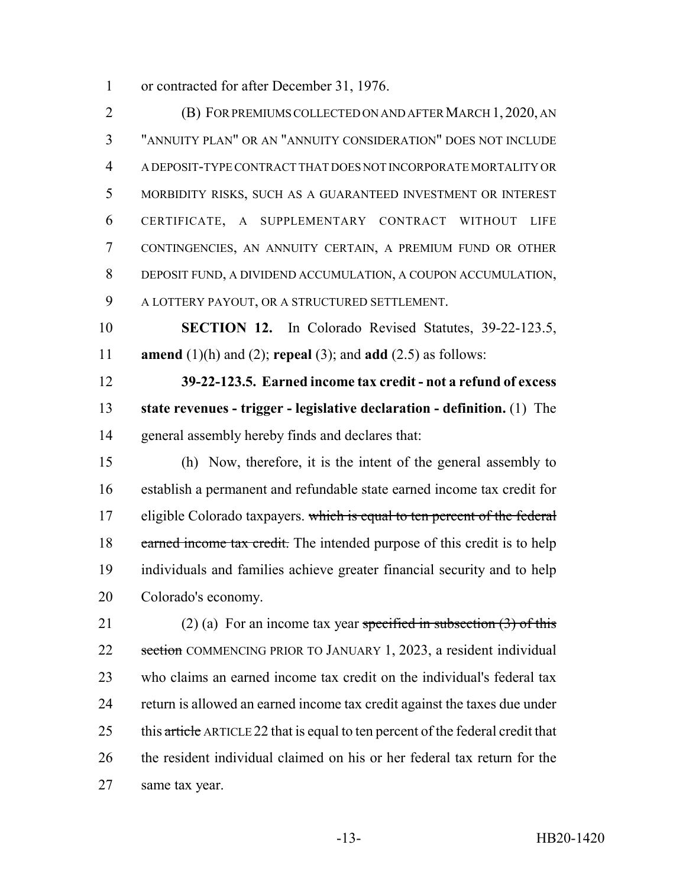or contracted for after December 31, 1976.

 (B) FOR PREMIUMS COLLECTED ON AND AFTER MARCH 1, 2020, AN "ANNUITY PLAN" OR AN "ANNUITY CONSIDERATION" DOES NOT INCLUDE A DEPOSIT-TYPE CONTRACT THAT DOES NOT INCORPORATE MORTALITY OR MORBIDITY RISKS, SUCH AS A GUARANTEED INVESTMENT OR INTEREST CERTIFICATE, A SUPPLEMENTARY CONTRACT WITHOUT LIFE CONTINGENCIES, AN ANNUITY CERTAIN, A PREMIUM FUND OR OTHER DEPOSIT FUND, A DIVIDEND ACCUMULATION, A COUPON ACCUMULATION, A LOTTERY PAYOUT, OR A STRUCTURED SETTLEMENT.

 **SECTION 12.** In Colorado Revised Statutes, 39-22-123.5, **amend** (1)(h) and (2); **repeal** (3); and **add** (2.5) as follows:

 **39-22-123.5. Earned income tax credit - not a refund of excess state revenues - trigger - legislative declaration - definition.** (1) The general assembly hereby finds and declares that:

 (h) Now, therefore, it is the intent of the general assembly to establish a permanent and refundable state earned income tax credit for 17 eligible Colorado taxpayers. which is equal to ten percent of the federal 18 earned income tax credit. The intended purpose of this credit is to help individuals and families achieve greater financial security and to help Colorado's economy.

21 (2) (a) For an income tax year specified in subsection  $(3)$  of this 22 section COMMENCING PRIOR TO JANUARY 1, 2023, a resident individual who claims an earned income tax credit on the individual's federal tax return is allowed an earned income tax credit against the taxes due under 25 this article ARTICLE 22 that is equal to ten percent of the federal credit that 26 the resident individual claimed on his or her federal tax return for the same tax year.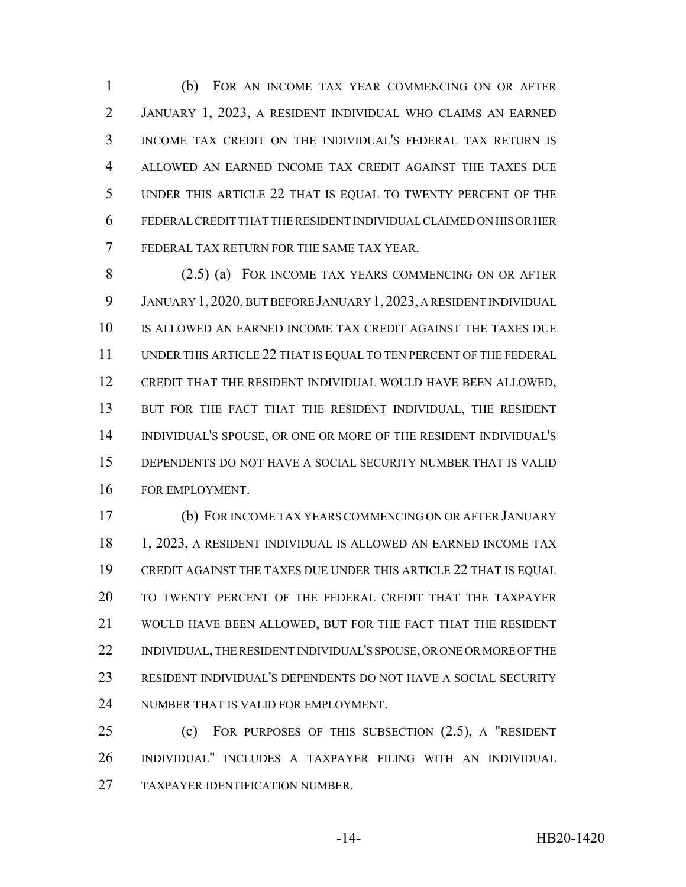(b) FOR AN INCOME TAX YEAR COMMENCING ON OR AFTER JANUARY 1, 2023, A RESIDENT INDIVIDUAL WHO CLAIMS AN EARNED INCOME TAX CREDIT ON THE INDIVIDUAL'S FEDERAL TAX RETURN IS ALLOWED AN EARNED INCOME TAX CREDIT AGAINST THE TAXES DUE UNDER THIS ARTICLE 22 THAT IS EQUAL TO TWENTY PERCENT OF THE FEDERAL CREDIT THAT THE RESIDENT INDIVIDUAL CLAIMED ON HIS OR HER FEDERAL TAX RETURN FOR THE SAME TAX YEAR.

 (2.5) (a) FOR INCOME TAX YEARS COMMENCING ON OR AFTER JANUARY 1, 2020, BUT BEFORE JANUARY 1,2023, A RESIDENT INDIVIDUAL IS ALLOWED AN EARNED INCOME TAX CREDIT AGAINST THE TAXES DUE UNDER THIS ARTICLE 22 THAT IS EQUAL TO TEN PERCENT OF THE FEDERAL CREDIT THAT THE RESIDENT INDIVIDUAL WOULD HAVE BEEN ALLOWED, 13 BUT FOR THE FACT THAT THE RESIDENT INDIVIDUAL, THE RESIDENT INDIVIDUAL'S SPOUSE, OR ONE OR MORE OF THE RESIDENT INDIVIDUAL'S DEPENDENTS DO NOT HAVE A SOCIAL SECURITY NUMBER THAT IS VALID FOR EMPLOYMENT.

 (b) FOR INCOME TAX YEARS COMMENCING ON OR AFTER JANUARY 18 1, 2023, A RESIDENT INDIVIDUAL IS ALLOWED AN EARNED INCOME TAX CREDIT AGAINST THE TAXES DUE UNDER THIS ARTICLE 22 THAT IS EQUAL TO TWENTY PERCENT OF THE FEDERAL CREDIT THAT THE TAXPAYER WOULD HAVE BEEN ALLOWED, BUT FOR THE FACT THAT THE RESIDENT 22 INDIVIDUAL, THE RESIDENT INDIVIDUAL'S SPOUSE, OR ONE OR MORE OF THE RESIDENT INDIVIDUAL'S DEPENDENTS DO NOT HAVE A SOCIAL SECURITY NUMBER THAT IS VALID FOR EMPLOYMENT.

 (c) FOR PURPOSES OF THIS SUBSECTION (2.5), A "RESIDENT INDIVIDUAL" INCLUDES A TAXPAYER FILING WITH AN INDIVIDUAL TAXPAYER IDENTIFICATION NUMBER.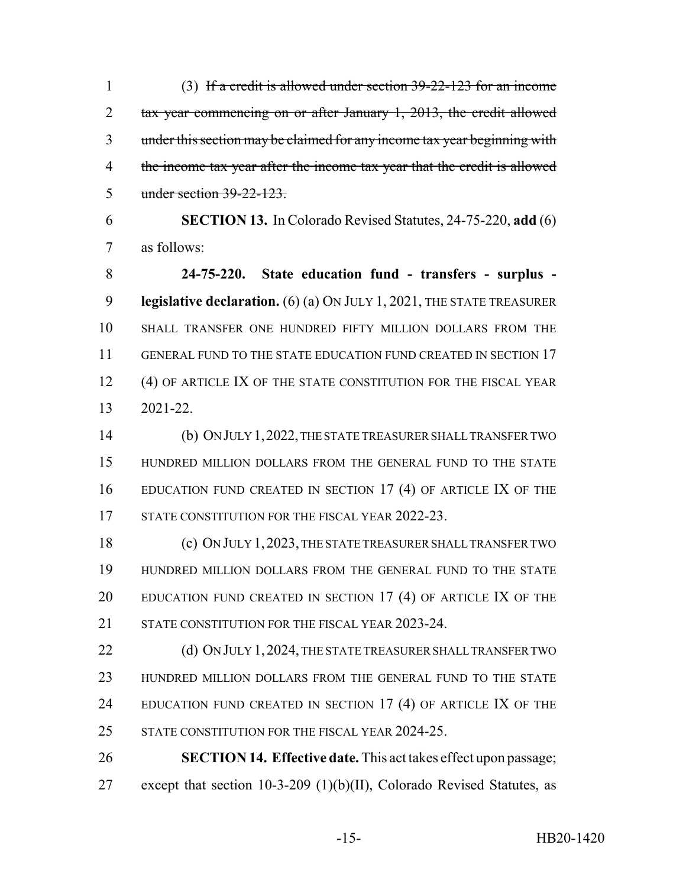(3) If a credit is allowed under section 39-22-123 for an income 2 tax year commencing on or after January 1, 2013, the credit allowed under this section may be claimed for any income tax year beginning with 4 the income tax year after the income tax year that the credit is allowed under section 39-22-123.

 **SECTION 13.** In Colorado Revised Statutes, 24-75-220, **add** (6) as follows:

 **24-75-220. State education fund - transfers - surplus - legislative declaration.** (6) (a) ON JULY 1, 2021, THE STATE TREASURER SHALL TRANSFER ONE HUNDRED FIFTY MILLION DOLLARS FROM THE 11 GENERAL FUND TO THE STATE EDUCATION FUND CREATED IN SECTION 17 12 (4) OF ARTICLE IX OF THE STATE CONSTITUTION FOR THE FISCAL YEAR 2021-22.

 (b) ON JULY 1,2022, THE STATE TREASURER SHALL TRANSFER TWO HUNDRED MILLION DOLLARS FROM THE GENERAL FUND TO THE STATE EDUCATION FUND CREATED IN SECTION 17 (4) OF ARTICLE IX OF THE 17 STATE CONSTITUTION FOR THE FISCAL YEAR 2022-23.

 (c) ON JULY 1,2023, THE STATE TREASURER SHALL TRANSFER TWO HUNDRED MILLION DOLLARS FROM THE GENERAL FUND TO THE STATE 20 EDUCATION FUND CREATED IN SECTION 17 (4) OF ARTICLE IX OF THE 21 STATE CONSTITUTION FOR THE FISCAL YEAR 2023-24.

22 (d) ON JULY 1, 2024, THE STATE TREASURER SHALL TRANSFER TWO HUNDRED MILLION DOLLARS FROM THE GENERAL FUND TO THE STATE 24 EDUCATION FUND CREATED IN SECTION 17 (4) OF ARTICLE IX OF THE 25 STATE CONSTITUTION FOR THE FISCAL YEAR 2024-25.

 **SECTION 14. Effective date.** This act takes effect upon passage; except that section 10-3-209 (1)(b)(II), Colorado Revised Statutes, as